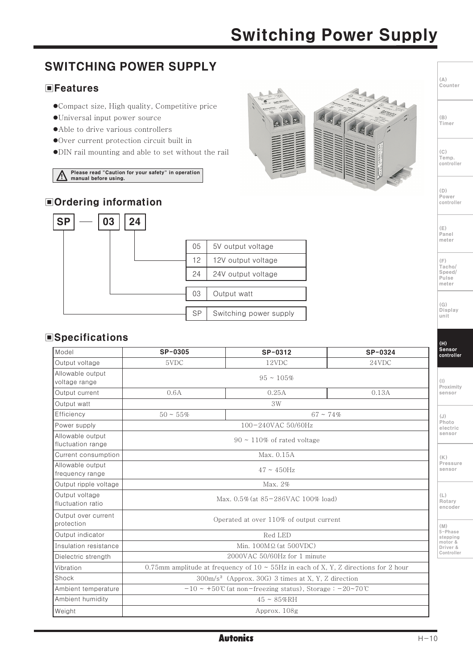## **Switching Power Supply**

#### **SWITCHING POWER SUPPLY**  $(\mathbb{A})$ ...<br>Counter  $\blacksquare$  Features ●Compact size, High quality, Competitive price ·Universal input power source  $(\mathbb{R})$ Timer • Able to drive various controllers ●Over current protection circuit built in • DIN rail mounting and able to set without the rail  $(C)$ Temp.<br>controller Please read "Caution for your safety" in operation manual before using.  $(n)$ Power **■Ordering information** controller **SP** 03 24  $(E)$ Panel meter 05 5V output voltage  $12$ 12V output voltage  $(E)$ ...<br>Tacho/ 24 Speed/ 24V output voltage Pulse meter  $0.3<sup>2</sup>$ Output watt  $(G)$ Display SP Switching power supply unit **Specifications**  $(H)$ Sensor<br>controller Model  $SP-0305$ SP-0312 SP-0324 5VDC  $12VDC$  $24VDC$ Output voltage Allowable output  $95 - 105\%$ voltage range  $(1)$ Proximity Output current  $0.25A$  $0.13A$  $0.6A$ sensor Output watt  $3W$ Efficiency  $50 - 55\%$  $67 - 74%$  $(.1)$ Photo 100-240VAC 50/60Hz Power supply electric sensor Allowable output  $90 \sim 110\%$  of rated voltage fluctuation range Current consumption Max. 0.15A  $(K)$ **Pressure** Allowable output  $47 \sim 450$ Hz sensor frequency range Output ripple voltage Max. 2% Output voltage  $(L)$ Max. 0.5% (at 85-286VAC 100% load) Rotary fluctuation ratio encoder Output over current Operated at over 110% of output current protection  $(M)$ ....,<br>5-Phase Output indicator Red LED stepping<br>motor &<br>Driver &<br>Controller Min. 100MQ (at 500VDC) Insulation resistance 2000VAC 50/60Hz for 1 minute Dielectric strength 0.75mm amplitude at frequency of  $10 \sim 55$ Hz in each of X, Y, Z directions for 2 hour Vibration 300m/s<sup>2</sup> (Approx. 30G) 3 times at X, Y, Z direction Shock Ambient temperature  $-10 \sim +50$ °C (at non-freezing status), Storage :  $-20 \sim 70$ °C Ambient humidity  $45 \sim 85\%$ RH Weight Approx. 108g

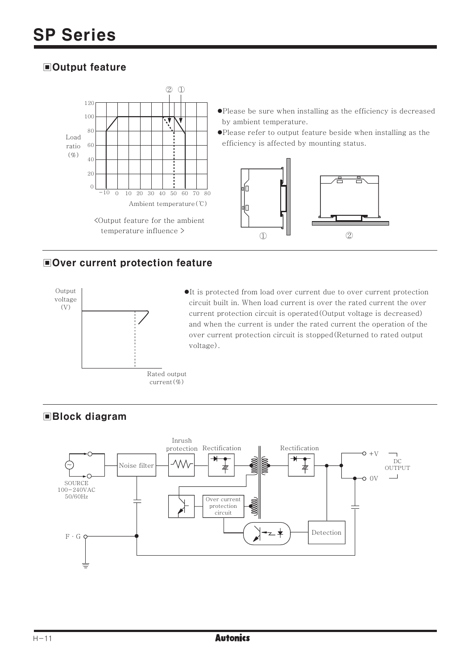## **■Output feature**



## Over current protection feature



•It is protected from load over current due to over current protection circuit built in. When load current is over the rated current the over current protection circuit is operated (Output voltage is decreased) and when the current is under the rated current the operation of the over current protection circuit is stopped (Returned to rated output voltage).

## **Block diagram**

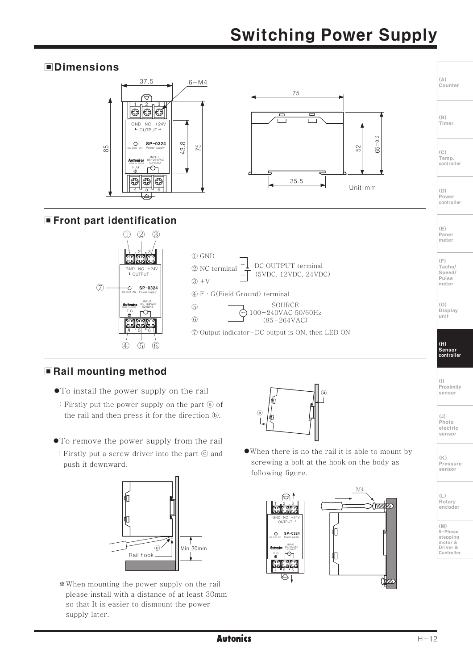# **Switching Power Supply**

#### **OD** Dimensions 37.5  $6 - M4$ 75  $| \circledcirc | \circlearrowleft$ GND NC  $+24$ <br>  $\overline{L}$  OUTPUT  $\overline{J}$  $+24$  $0.3$  $\circ$ SP-0324  $\infty$ 75 85 52 65  $43.$ г⊙ Œ  $35.5$ Unit:mm **■Front part identification**  $(2)$   $(3)$  $\mathcal{D}$  $\bigoplus$  GND  $\bigcirc$ DC OUTPUT terminal 2 NC terminal  $\begin{array}{cc} \text{GND} & \text{NC} & +24\text{V} \\ \text{LOUTPUT} & \text{J} \end{array}$ (5VDC, 12VDC, 24VDC)  $(3) +V$  $(7)$ O SP-0324  $\mathfrak{A}$  F · G(Field Ground) terminal SOURCE **Autonics** 85-264VA  $\binom{5}{2}$  $F.G$  $F^{\odot}$ 100-240VAC 50/60Hz  $\circled{6}$  $(85 - 264 \text{VAC})$ ⊕⊕€ 7 Output indicator-DC output is ON, then LED ON  $\mathcal{A}$  $\circled{5}$  $\circ$

## Rail mounting method

- To install the power supply on the rail
- : Firstly put the power supply on the part @ of the rail and then press it for the direction (b).
- To remove the power supply from the rail
- : Firstly put a screw driver into the part © and push it downward.



\*When mounting the power supply on the rail please install with a distance of at least 30mm so that It is easier to dismount the power supply later.



• When there is no the rail it is able to mount by screwing a bolt at the hook on the body as following figure.







 $(A)$ 

 $(\mathbb{R})$ Timer

 $(C)$ Temp. controller

 $(D)$ Power controller

 $(E)$ 

Panel meter

Counter

(H)<br>Sensor<br>controller

 $(1)$ (1)<br>Proximity sensor

 $(.1)$ Photo electric sensor

 $(\mathbb{K})$ Pressure sensor

Rotary encoder

(M)<br>5-Phase stepping motor &<br>Driver &